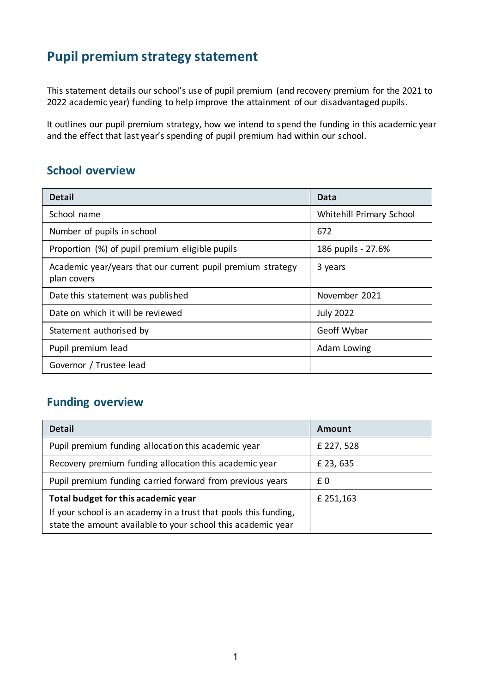## **Pupil premium strategy statement**

This statement details our school's use of pupil premium (and recovery premium for the 2021 to 2022 academic year) funding to help improve the attainment of our disadvantaged pupils.

It outlines our pupil premium strategy, how we intend to spend the funding in this academic year and the effect that last year's spending of pupil premium had within our school.

#### **School overview**

| <b>Detail</b>                                                              | Data                     |
|----------------------------------------------------------------------------|--------------------------|
| School name                                                                | Whitehill Primary School |
| Number of pupils in school                                                 | 672                      |
| Proportion (%) of pupil premium eligible pupils                            | 186 pupils - 27.6%       |
| Academic year/years that our current pupil premium strategy<br>plan covers | 3 years                  |
| Date this statement was published                                          | November 2021            |
| Date on which it will be reviewed                                          | <b>July 2022</b>         |
| Statement authorised by                                                    | Geoff Wybar              |
| Pupil premium lead                                                         | Adam Lowing              |
| Governor / Trustee lead                                                    |                          |

### **Funding overview**

| <b>Detail</b>                                                                                                                    | Amount     |
|----------------------------------------------------------------------------------------------------------------------------------|------------|
| Pupil premium funding allocation this academic year                                                                              | £ 227, 528 |
| Recovery premium funding allocation this academic year                                                                           | £ 23, 635  |
| Pupil premium funding carried forward from previous years                                                                        | £0         |
| Total budget for this academic year                                                                                              | £ 251,163  |
| If your school is an academy in a trust that pools this funding,<br>state the amount available to your school this academic year |            |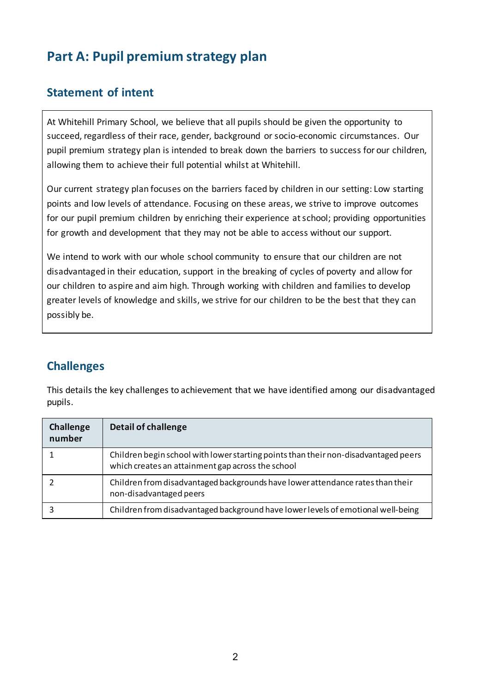# **Part A: Pupil premium strategy plan**

### **Statement of intent**

At Whitehill Primary School, we believe that all pupils should be given the opportunity to succeed, regardless of their race, gender, background or socio-economic circumstances. Our pupil premium strategy plan is intended to break down the barriers to success for our children, allowing them to achieve their full potential whilst at Whitehill.

Our current strategy plan focuses on the barriers faced by children in our setting: Low starting points and low levels of attendance. Focusing on these areas, we strive to improve outcomes for our pupil premium children by enriching their experience at school; providing opportunities for growth and development that they may not be able to access without our support.

We intend to work with our whole school community to ensure that our children are not disadvantaged in their education, support in the breaking of cycles of poverty and allow for our children to aspire and aim high. Through working with children and families to develop greater levels of knowledge and skills, we strive for our children to be the best that they can possibly be.

### **Challenges**

This details the key challenges to achievement that we have identified among our disadvantaged pupils.

| Challenge<br>number | <b>Detail of challenge</b>                                                                                                               |
|---------------------|------------------------------------------------------------------------------------------------------------------------------------------|
|                     | Children begin school with lower starting points than their non-disadvantaged peers<br>which creates an attainment gap across the school |
|                     | Children from disadvantaged backgrounds have lower attendance rates than their<br>non-disadvantaged peers                                |
|                     | Children from disadvantaged background have lower levels of emotional well-being                                                         |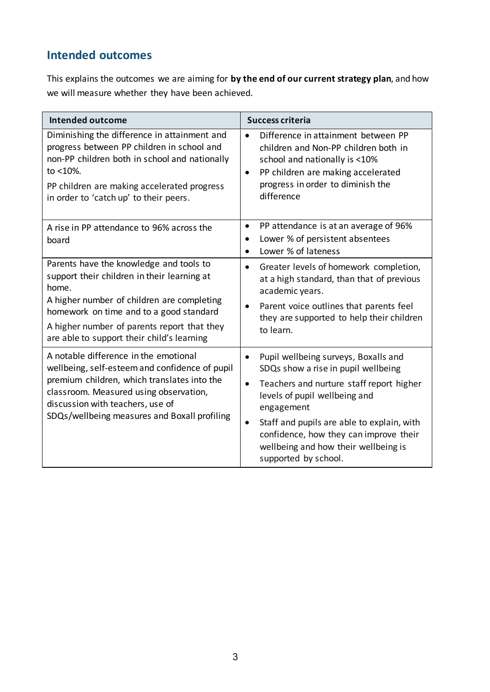## **Intended outcomes**

This explains the outcomes we are aiming for **by the end of our current strategy plan**, and how we will measure whether they have been achieved.

| <b>Intended outcome</b>                                                                                                                                                                                                                                                               | <b>Success criteria</b>                                                                                                                                                                                                                                                                                                                                               |
|---------------------------------------------------------------------------------------------------------------------------------------------------------------------------------------------------------------------------------------------------------------------------------------|-----------------------------------------------------------------------------------------------------------------------------------------------------------------------------------------------------------------------------------------------------------------------------------------------------------------------------------------------------------------------|
| Diminishing the difference in attainment and<br>progress between PP children in school and<br>non-PP children both in school and nationally<br>to <10%.<br>PP children are making accelerated progress<br>in order to 'catch up' to their peers.                                      | Difference in attainment between PP<br>children and Non-PP children both in<br>school and nationally is <10%<br>PP children are making accelerated<br>٠<br>progress in order to diminish the<br>difference                                                                                                                                                            |
| A rise in PP attendance to 96% across the<br>board                                                                                                                                                                                                                                    | PP attendance is at an average of 96%<br>٠<br>Lower % of persistent absentees<br>Lower % of lateness<br>$\bullet$                                                                                                                                                                                                                                                     |
| Parents have the knowledge and tools to<br>support their children in their learning at<br>home.<br>A higher number of children are completing<br>homework on time and to a good standard<br>A higher number of parents report that they<br>are able to support their child's learning | Greater levels of homework completion,<br>$\bullet$<br>at a high standard, than that of previous<br>academic years.<br>Parent voice outlines that parents feel<br>$\bullet$<br>they are supported to help their children<br>to learn.                                                                                                                                 |
| A notable difference in the emotional<br>wellbeing, self-esteem and confidence of pupil<br>premium children, which translates into the<br>classroom. Measured using observation,<br>discussion with teachers, use of<br>SDQs/wellbeing measures and Boxall profiling                  | Pupil wellbeing surveys, Boxalls and<br>$\bullet$<br>SDQs show a rise in pupil wellbeing<br>Teachers and nurture staff report higher<br>$\bullet$<br>levels of pupil wellbeing and<br>engagement<br>Staff and pupils are able to explain, with<br>$\bullet$<br>confidence, how they can improve their<br>wellbeing and how their wellbeing is<br>supported by school. |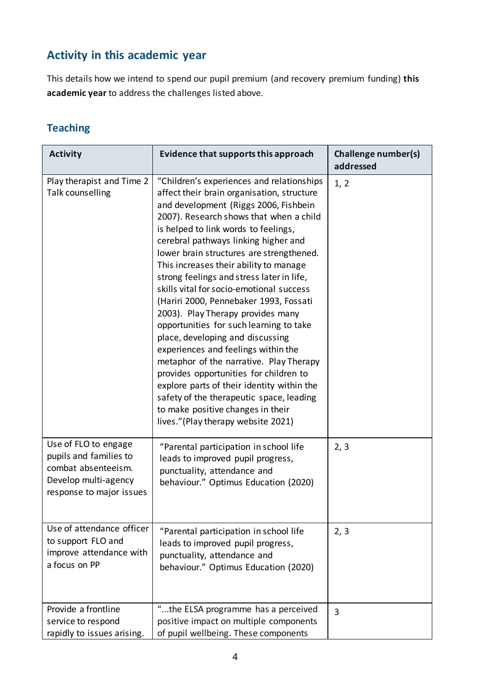## **Activity in this academic year**

This details how we intend to spend our pupil premium (and recovery premium funding) **this academic year** to address the challenges listed above.

#### **Teaching**

| <b>Activity</b>                                                                                                           | Evidence that supports this approach                                                                                                                                                                                                                                                                                                                                                                                                                                                                                                                                                                                                                                                                                                                                                                                                                                                                      | Challenge number(s)<br>addressed |
|---------------------------------------------------------------------------------------------------------------------------|-----------------------------------------------------------------------------------------------------------------------------------------------------------------------------------------------------------------------------------------------------------------------------------------------------------------------------------------------------------------------------------------------------------------------------------------------------------------------------------------------------------------------------------------------------------------------------------------------------------------------------------------------------------------------------------------------------------------------------------------------------------------------------------------------------------------------------------------------------------------------------------------------------------|----------------------------------|
| Play therapist and Time 2<br>Talk counselling                                                                             | "Children's experiences and relationships<br>affect their brain organisation, structure<br>and development (Riggs 2006, Fishbein<br>2007). Research shows that when a child<br>is helped to link words to feelings,<br>cerebral pathways linking higher and<br>lower brain structures are strengthened.<br>This increases their ability to manage<br>strong feelings and stress later in life,<br>skills vital for socio-emotional success<br>(Hariri 2000, Pennebaker 1993, Fossati<br>2003). Play Therapy provides many<br>opportunities for such learning to take<br>place, developing and discussing<br>experiences and feelings within the<br>metaphor of the narrative. Play Therapy<br>provides opportunities for children to<br>explore parts of their identity within the<br>safety of the therapeutic space, leading<br>to make positive changes in their<br>lives."(Play therapy website 2021) | 1, 2                             |
| Use of FLO to engage<br>pupils and families to<br>combat absenteeism.<br>Develop multi-agency<br>response to major issues | "Parental participation in school life<br>leads to improved pupil progress,<br>punctuality, attendance and<br>behaviour." Optimus Education (2020)                                                                                                                                                                                                                                                                                                                                                                                                                                                                                                                                                                                                                                                                                                                                                        | 2, 3                             |
| Use of attendance officer<br>to support FLO and<br>improve attendance with<br>a focus on PP                               | "Parental participation in school life<br>leads to improved pupil progress,<br>punctuality, attendance and<br>behaviour." Optimus Education (2020)                                                                                                                                                                                                                                                                                                                                                                                                                                                                                                                                                                                                                                                                                                                                                        | 2, 3                             |
| Provide a frontline<br>service to respond<br>rapidly to issues arising.                                                   | "the ELSA programme has a perceived<br>positive impact on multiple components<br>of pupil wellbeing. These components                                                                                                                                                                                                                                                                                                                                                                                                                                                                                                                                                                                                                                                                                                                                                                                     | $\overline{3}$                   |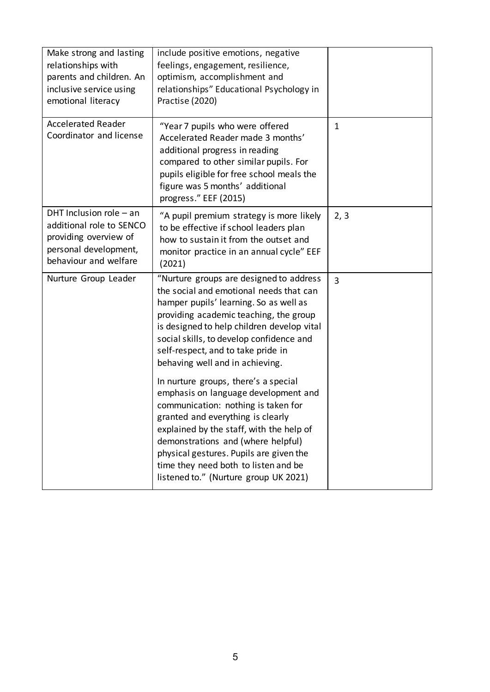| Make strong and lasting<br>relationships with<br>parents and children. An<br>inclusive service using<br>emotional literacy       | include positive emotions, negative<br>feelings, engagement, resilience,<br>optimism, accomplishment and<br>relationships" Educational Psychology in<br>Practise (2020)                                                                                                                                                                                                |                |
|----------------------------------------------------------------------------------------------------------------------------------|------------------------------------------------------------------------------------------------------------------------------------------------------------------------------------------------------------------------------------------------------------------------------------------------------------------------------------------------------------------------|----------------|
| <b>Accelerated Reader</b><br>Coordinator and license                                                                             | "Year 7 pupils who were offered<br>Accelerated Reader made 3 months'<br>additional progress in reading<br>compared to other similar pupils. For<br>pupils eligible for free school meals the<br>figure was 5 months' additional<br>progress." EEF (2015)                                                                                                               | $\mathbf{1}$   |
| DHT Inclusion role $-$ an<br>additional role to SENCO<br>providing overview of<br>personal development,<br>behaviour and welfare | "A pupil premium strategy is more likely<br>to be effective if school leaders plan<br>how to sustain it from the outset and<br>monitor practice in an annual cycle" EEF<br>(2021)                                                                                                                                                                                      | 2, 3           |
| Nurture Group Leader                                                                                                             | "Nurture groups are designed to address<br>the social and emotional needs that can<br>hamper pupils' learning. So as well as<br>providing academic teaching, the group<br>is designed to help children develop vital<br>social skills, to develop confidence and<br>self-respect, and to take pride in<br>behaving well and in achieving.                              | $\overline{3}$ |
|                                                                                                                                  | In nurture groups, there's a special<br>emphasis on language development and<br>communication: nothing is taken for<br>granted and everything is clearly<br>explained by the staff, with the help of<br>demonstrations and (where helpful)<br>physical gestures. Pupils are given the<br>time they need both to listen and be<br>listened to." (Nurture group UK 2021) |                |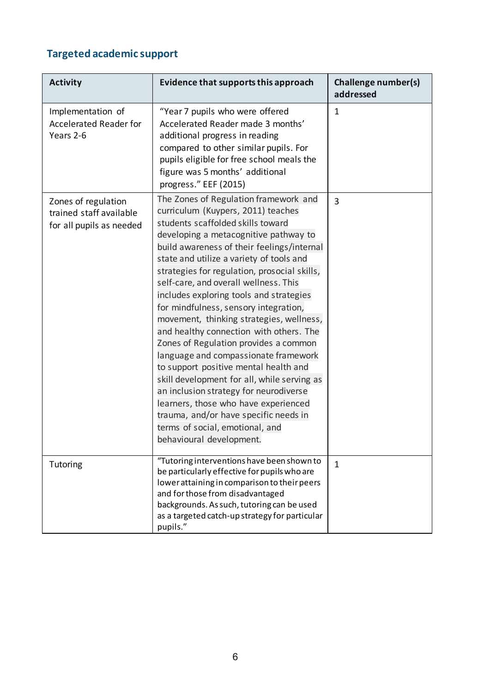# **Targeted academic support**

| <b>Activity</b>                                                            | Evidence that supports this approach                                                                                                                                                                                                                                                                                                                                                                                                                                                                                                                                                                                                                                                                                                                                                                                                                                                       | Challenge number(s)<br>addressed |
|----------------------------------------------------------------------------|--------------------------------------------------------------------------------------------------------------------------------------------------------------------------------------------------------------------------------------------------------------------------------------------------------------------------------------------------------------------------------------------------------------------------------------------------------------------------------------------------------------------------------------------------------------------------------------------------------------------------------------------------------------------------------------------------------------------------------------------------------------------------------------------------------------------------------------------------------------------------------------------|----------------------------------|
| Implementation of<br><b>Accelerated Reader for</b><br>Years 2-6            | "Year 7 pupils who were offered<br>Accelerated Reader made 3 months'<br>additional progress in reading<br>compared to other similar pupils. For<br>pupils eligible for free school meals the<br>figure was 5 months' additional<br>progress." EEF (2015)                                                                                                                                                                                                                                                                                                                                                                                                                                                                                                                                                                                                                                   | $\mathbf{1}$                     |
| Zones of regulation<br>trained staff available<br>for all pupils as needed | The Zones of Regulation framework and<br>curriculum (Kuypers, 2011) teaches<br>students scaffolded skills toward<br>developing a metacognitive pathway to<br>build awareness of their feelings/internal<br>state and utilize a variety of tools and<br>strategies for regulation, prosocial skills,<br>self-care, and overall wellness. This<br>includes exploring tools and strategies<br>for mindfulness, sensory integration,<br>movement, thinking strategies, wellness,<br>and healthy connection with others. The<br>Zones of Regulation provides a common<br>language and compassionate framework<br>to support positive mental health and<br>skill development for all, while serving as<br>an inclusion strategy for neurodiverse<br>learners, those who have experienced<br>trauma, and/or have specific needs in<br>terms of social, emotional, and<br>behavioural development. | $\overline{3}$                   |
| Tutoring                                                                   | "Tutoring interventions have been shown to<br>be particularly effective for pupils who are<br>lower attaining in comparison to their peers<br>and for those from disadvantaged<br>backgrounds. As such, tutoring can be used<br>as a targeted catch-up strategy for particular<br>pupils."                                                                                                                                                                                                                                                                                                                                                                                                                                                                                                                                                                                                 | $\mathbf{1}$                     |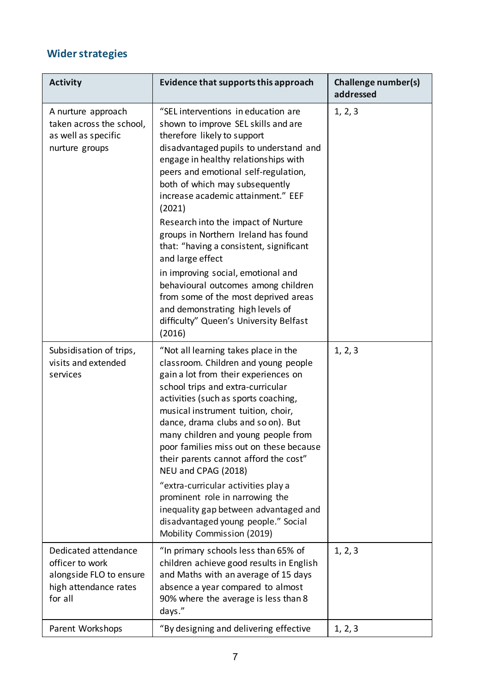# **Wider strategies**

| <b>Activity</b>                                                                                        | Evidence that supports this approach                                                                                                                                                                                                                                                                                                                                                                                                                                                                                                                                                                                                                                             | Challenge number(s)<br>addressed |
|--------------------------------------------------------------------------------------------------------|----------------------------------------------------------------------------------------------------------------------------------------------------------------------------------------------------------------------------------------------------------------------------------------------------------------------------------------------------------------------------------------------------------------------------------------------------------------------------------------------------------------------------------------------------------------------------------------------------------------------------------------------------------------------------------|----------------------------------|
| A nurture approach<br>taken across the school,<br>as well as specific<br>nurture groups                | "SEL interventions in education are<br>shown to improve SEL skills and are<br>therefore likely to support<br>disadvantaged pupils to understand and<br>engage in healthy relationships with<br>peers and emotional self-regulation,<br>both of which may subsequently<br>increase academic attainment." EEF<br>(2021)<br>Research into the impact of Nurture<br>groups in Northern Ireland has found<br>that: "having a consistent, significant<br>and large effect<br>in improving social, emotional and<br>behavioural outcomes among children<br>from some of the most deprived areas<br>and demonstrating high levels of<br>difficulty" Queen's University Belfast<br>(2016) | 1, 2, 3                          |
| Subsidisation of trips,<br>visits and extended<br>services                                             | "Not all learning takes place in the<br>classroom. Children and young people<br>gain a lot from their experiences on<br>school trips and extra-curricular<br>activities (such as sports coaching,<br>musical instrument tuition, choir,<br>dance, drama clubs and so on). But<br>many children and young people from<br>poor families miss out on these because<br>their parents cannot afford the cost"<br>NEU and CPAG (2018)<br>"extra-curricular activities play a<br>prominent role in narrowing the<br>inequality gap between advantaged and<br>disadvantaged young people." Social<br>Mobility Commission (2019)                                                          | 1, 2, 3                          |
| Dedicated attendance<br>officer to work<br>alongside FLO to ensure<br>high attendance rates<br>for all | "In primary schools less than 65% of<br>children achieve good results in English<br>and Maths with an average of 15 days<br>absence a year compared to almost<br>90% where the average is less than 8<br>days."                                                                                                                                                                                                                                                                                                                                                                                                                                                                  | 1, 2, 3                          |
| Parent Workshops                                                                                       | "By designing and delivering effective                                                                                                                                                                                                                                                                                                                                                                                                                                                                                                                                                                                                                                           | 1, 2, 3                          |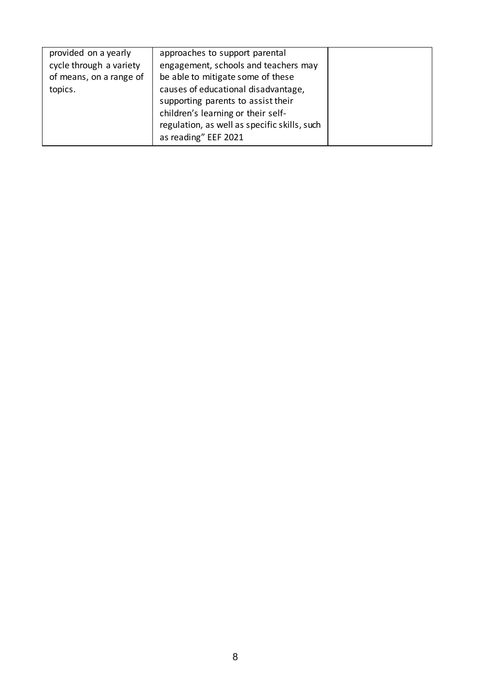| provided on a yearly    | approaches to support parental               |  |
|-------------------------|----------------------------------------------|--|
| cycle through a variety | engagement, schools and teachers may         |  |
| of means, on a range of | be able to mitigate some of these            |  |
| topics.                 | causes of educational disadvantage,          |  |
|                         | supporting parents to assist their           |  |
|                         | children's learning or their self-           |  |
|                         | regulation, as well as specific skills, such |  |
|                         | as reading" EEF 2021                         |  |